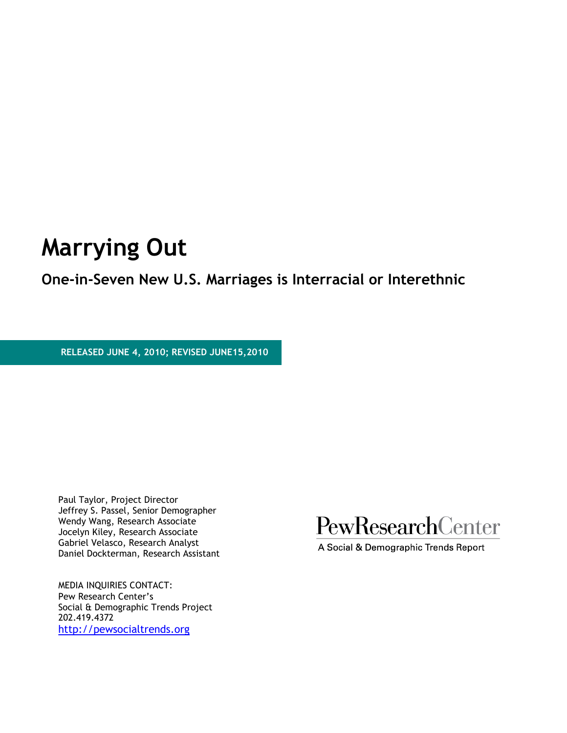# **Marrying Out**

### **One-in-Seven New U.S. Marriages is Interracial or Interethnic**

 **RELEASED JUNE 4, 2010; REVISED JUNE15,2010**

Paul Taylor, Project Director Jeffrey S. Passel, Senior Demographer Wendy Wang, Research Associate Jocelyn Kiley, Research Associate Gabriel Velasco, Research Analyst Daniel Dockterman, Research Assistant

MEDIA INQUIRIES CONTACT: Pew Research Center's Social & Demographic Trends Project 202.419.4372 [http://pewsocialtrends.org](http://pewsocialtrends.org/)



A Social & Demographic Trends Report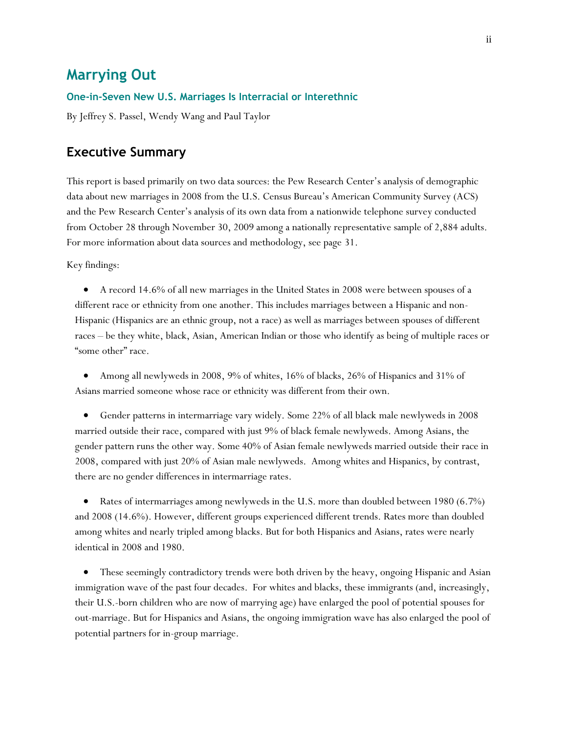### **Marrying Out**

#### **One-in-Seven New U.S. Marriages Is Interracial or Interethnic**

By Jeffrey S. Passel, Wendy Wang and Paul Taylor

### **Executive Summary**

This report is based primarily on two data sources: the Pew Research Center's analysis of demographic data about new marriages in 2008 from the U.S. Census Bureau's American Community Survey (ACS) and the Pew Research Center's analysis of its own data from a nationwide telephone survey conducted from October 28 through November 30, 2009 among a nationally representative sample of 2,884 adults. For more information about data sources and methodology, see page 31.

Key findings:

 A record 14.6% of all new marriages in the United States in 2008 were between spouses of a different race or ethnicity from one another. This includes marriages between a Hispanic and non-Hispanic (Hispanics are an ethnic group, not a race) as well as marriages between spouses of different races – be they white, black, Asian, American Indian or those who identify as being of multiple races or "some other" race.

 Among all newlyweds in 2008, 9% of whites, 16% of blacks, 26% of Hispanics and 31% of Asians married someone whose race or ethnicity was different from their own.

 Gender patterns in intermarriage vary widely. Some 22% of all black male newlyweds in 2008 married outside their race, compared with just 9% of black female newlyweds. Among Asians, the gender pattern runs the other way. Some 40% of Asian female newlyweds married outside their race in 2008, compared with just 20% of Asian male newlyweds. Among whites and Hispanics, by contrast, there are no gender differences in intermarriage rates.

• Rates of intermarriages among newlyweds in the U.S. more than doubled between 1980 (6.7%) and 2008 (14.6%). However, different groups experienced different trends. Rates more than doubled among whites and nearly tripled among blacks. But for both Hispanics and Asians, rates were nearly identical in 2008 and 1980.

 These seemingly contradictory trends were both driven by the heavy, ongoing Hispanic and Asian immigration wave of the past four decades. For whites and blacks, these immigrants (and, increasingly, their U.S.-born children who are now of marrying age) have enlarged the pool of potential spouses for out-marriage. But for Hispanics and Asians, the ongoing immigration wave has also enlarged the pool of potential partners for in-group marriage.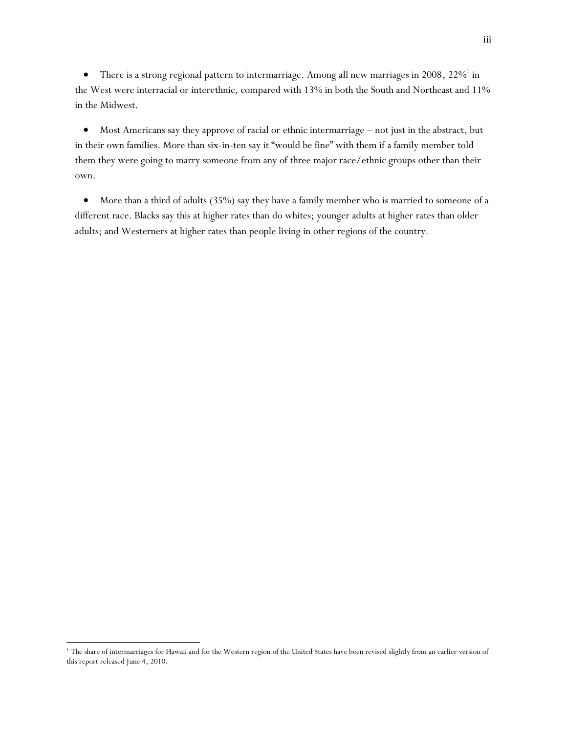• There is a strong regional pattern to intermarriage. Among all new marriages in 2008,  $22\%$ <sup>1</sup> in the West were interracial or interethnic, compared with 13% in both the South and Northeast and 11% in the Midwest.

 Most Americans say they approve of racial or ethnic intermarriage – not just in the abstract, but in their own families. More than six-in-ten say it "would be fine" with them if a family member told them they were going to marry someone from any of three major race/ethnic groups other than their own.

 More than a third of adults (35%) say they have a family member who is married to someone of a different race. Blacks say this at higher rates than do whites; younger adults at higher rates than older adults; and Westerners at higher rates than people living in other regions of the country.

l

<sup>&</sup>lt;sup>1</sup> The share of intermarriages for Hawaii and for the Western region of the United States have been revised slightly from an earlier version of this report released June 4, 2010.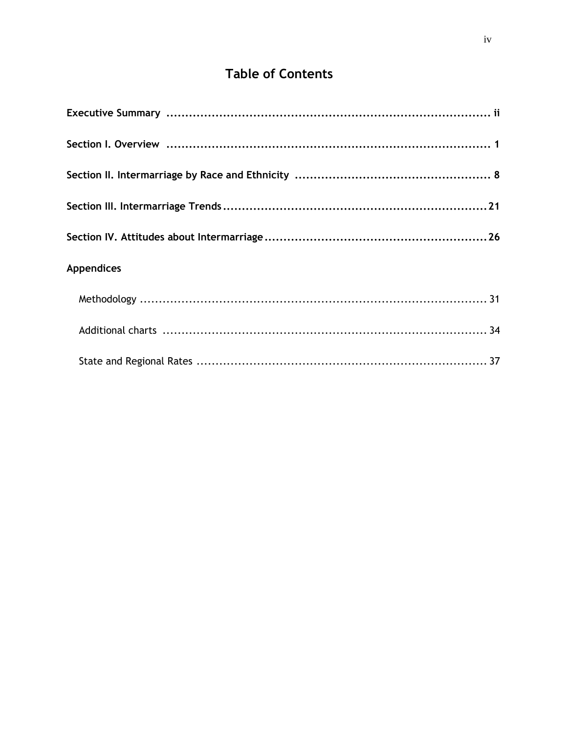## **Table of Contents**

| <b>Appendices</b> |
|-------------------|
|                   |
|                   |
|                   |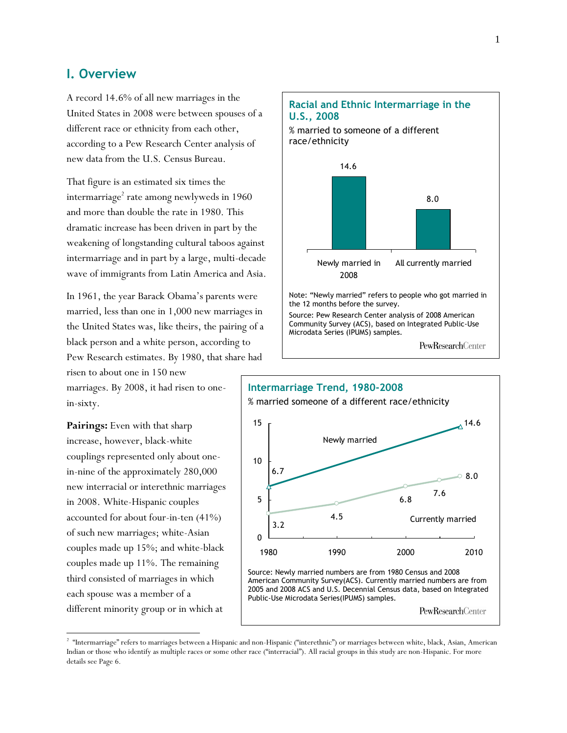### **I. Overview**

A record 14.6% of all new marriages in the United States in 2008 were between spouses of a different race or ethnicity from each other, according to a Pew Research Center analysis of new data from the U.S. Census Bureau.

That figure is an estimated six times the intermarriage $^{\rm 2}$  rate among newlyweds in 1960 and more than double the rate in 1980. This dramatic increase has been driven in part by the weakening of longstanding cultural taboos against intermarriage and in part by a large, multi-decade wave of immigrants from Latin America and Asia.

In 1961, the year Barack Obama's parents were married, less than one in 1,000 new marriages in the United States was, like theirs, the pairing of a black person and a white person, according to Pew Research estimates. By 1980, that share had

marriages. By 2008, it had risen to onein-sixty.

risen to about one in 150 new

**Pairings:** Even with that sharp increase, however, black-white couplings represented only about onein-nine of the approximately 280,000 new interracial or interethnic marriages in 2008. White-Hispanic couples accounted for about four-in-ten (41%) of such new marriages; white-Asian couples made up 15%; and white-black couples made up 11%. The remaining third consisted of marriages in which each spouse was a member of a different minority group or in which at

 $\overline{a}$ 





 $^2$  "Intermarriage" refers to marriages between a Hispanic and non-Hispanic ("interethnic") or marriages between white, black, Asian, American Indian or those who identify as multiple races or some other race ("interracial"). All racial groups in this study are non-Hispanic. For more details see Page 6.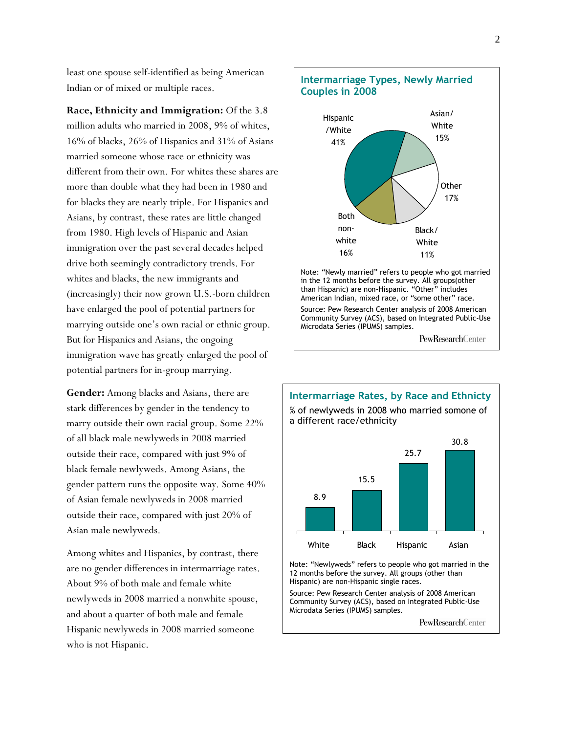least one spouse self-identified as being American Indian or of mixed or multiple races.

**Race, Ethnicity and Immigration:** Of the 3.8 million adults who married in 2008, 9% of whites, 16% of blacks, 26% of Hispanics and 31% of Asians married someone whose race or ethnicity was different from their own. For whites these shares are more than double what they had been in 1980 and for blacks they are nearly triple. For Hispanics and Asians, by contrast, these rates are little changed from 1980. High levels of Hispanic and Asian immigration over the past several decades helped drive both seemingly contradictory trends. For whites and blacks, the new immigrants and (increasingly) their now grown U.S.-born children have enlarged the pool of potential partners for marrying outside one's own racial or ethnic group. But for Hispanics and Asians, the ongoing immigration wave has greatly enlarged the pool of potential partners for in-group marrying.

**Gender:** Among blacks and Asians, there are stark differences by gender in the tendency to marry outside their own racial group. Some 22% of all black male newlyweds in 2008 married outside their race, compared with just 9% of black female newlyweds. Among Asians, the gender pattern runs the opposite way. Some 40% of Asian female newlyweds in 2008 married outside their race, compared with just 20% of Asian male newlyweds.

Among whites and Hispanics, by contrast, there are no gender differences in intermarriage rates. About 9% of both male and female white newlyweds in 2008 married a nonwhite spouse, and about a quarter of both male and female Hispanic newlyweds in 2008 married someone who is not Hispanic.





Note: "Newlyweds" refers to people who got married in the 12 months before the survey. All groups (other than Hispanic) are non-Hispanic single races.

Source: Pew Research Center analysis of 2008 American Community Survey (ACS), based on Integrated Public-Use Microdata Series (IPUMS) samples.

PewResearchCenter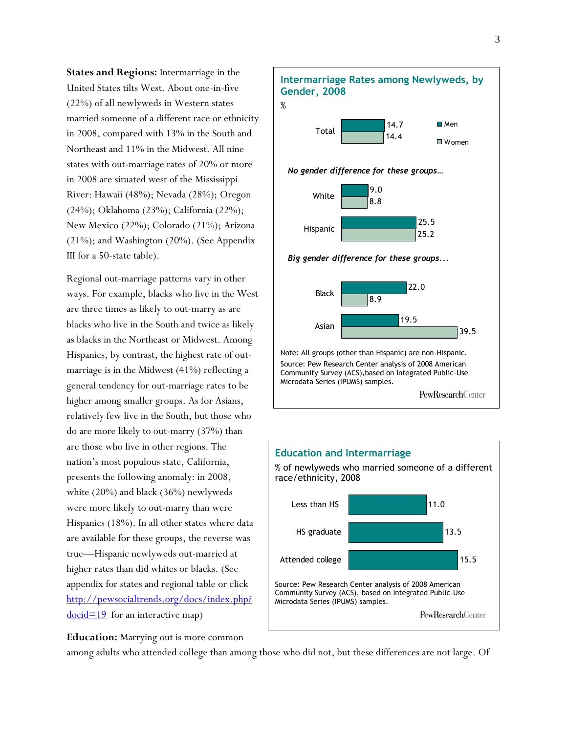**States and Regions:** Intermarriage in the United States tilts West. About one-in-five (22%) of all newlyweds in Western states married someone of a different race or ethnicity in 2008, compared with 13% in the South and Northeast and 11% in the Midwest. All nine states with out-marriage rates of 20% or more in 2008 are situated west of the Mississippi River: Hawaii (48%); Nevada (28%); Oregon (24%); Oklahoma (23%); California (22%); New Mexico (22%); Colorado (21%); Arizona (21%); and Washington (20%). (See Appendix III for a 50-state table).

Regional out-marriage patterns vary in other ways. For example, blacks who live in the West are three times as likely to out-marry as are blacks who live in the South and twice as likely as blacks in the Northeast or Midwest. Among Hispanics, by contrast, the highest rate of outmarriage is in the Midwest (41%) reflecting a general tendency for out-marriage rates to be higher among smaller groups. As for Asians, relatively few live in the South, but those who do are more likely to out-marry (37%) than are those who live in other regions. The nation's most populous state, California, presents the following anomaly: in 2008, white (20%) and black (36%) newlyweds were more likely to out-marry than were Hispanics (18%). In all other states where data are available for these groups, the reverse was true—Hispanic newlyweds out-married at higher rates than did whites or blacks. (See appendix for states and regional table or click [http://pewsocialtrends.org/docs/index.php?](http://pewsocialtrends.org/docs/index.php?docid=19)  $\frac{\text{docid}=19}{\text{for an interactive map}}$ 





**Education:** Marrying out is more common

among adults who attended college than among those who did not, but these differences are not large. Of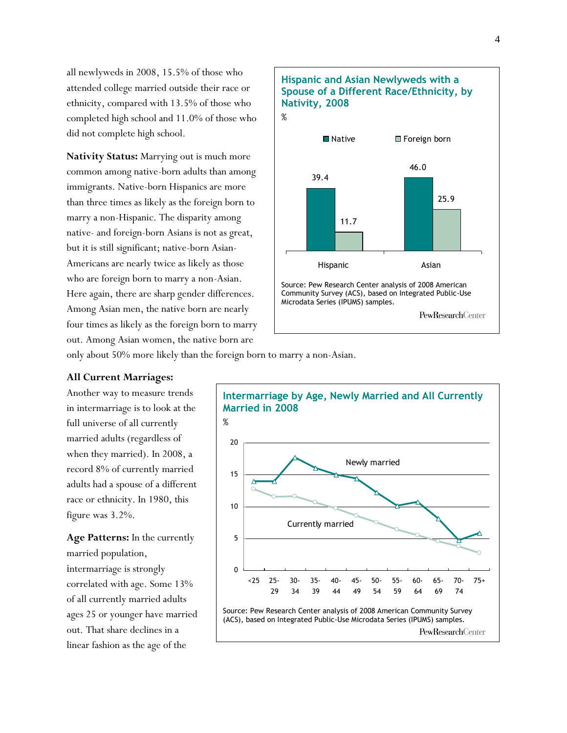all newlyweds in 2008, 15.5% of those who attended college married outside their race or ethnicity, compared with 13.5% of those who completed high school and 11.0% of those who did not complete high school.

**Nativity Status:** Marrying out is much more common among native-born adults than among immigrants. Native-born Hispanics are more than three times as likely as the foreign born to marry a non-Hispanic. The disparity among native- and foreign-born Asians is not as great, but it is still significant; native-born Asian-Americans are nearly twice as likely as those who are foreign born to marry a non-Asian. Here again, there are sharp gender differences. Among Asian men, the native born are nearly four times as likely as the foreign born to marry out. Among Asian women, the native born are



only about 50% more likely than the foreign born to marry a non-Asian.

#### **All Current Marriages:**

Another way to measure trends in intermarriage is to look at the full universe of all currently married adults (regardless of when they married). In 2008, a record 8% of currently married adults had a spouse of a different race or ethnicity. In 1980, this figure was 3.2%.

**Age Patterns:** In the currently married population, intermarriage is strongly correlated with age. Some 13% of all currently married adults ages 25 or younger have married out. That share declines in a linear fashion as the age of the

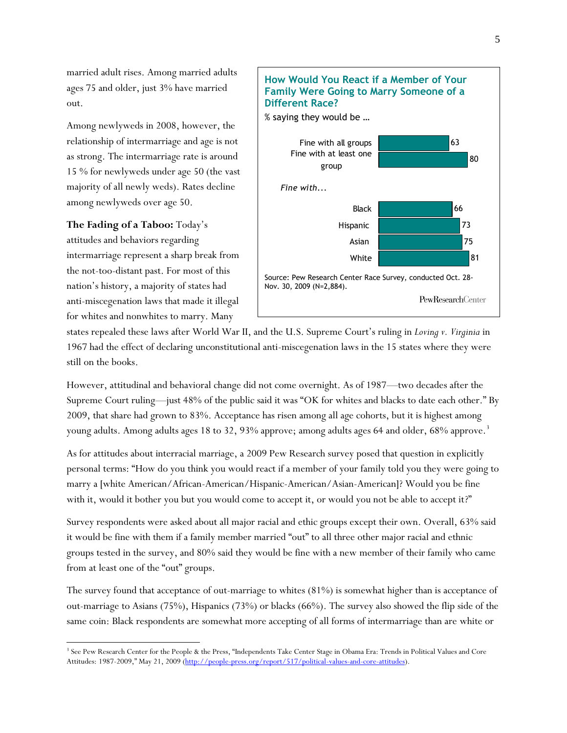married adult rises. Among married adults ages 75 and older, just 3% have married out.

Among newlyweds in 2008, however, the relationship of intermarriage and age is not as strong. The intermarriage rate is around 15 % for newlyweds under age 50 (the vast majority of all newly weds). Rates decline among newlyweds over age 50.

**The Fading of a Taboo:** Today's attitudes and behaviors regarding intermarriage represent a sharp break from the not-too-distant past. For most of this nation's history, a majority of states had anti-miscegenation laws that made it illegal for whites and nonwhites to marry. Many

l



states repealed these laws after World War II, and the U.S. Supreme Court's ruling in *Loving v. Virginia* in 1967 had the effect of declaring unconstitutional anti-miscegenation laws in the 15 states where they were still on the books.

However, attitudinal and behavioral change did not come overnight. As of 1987—two decades after the Supreme Court ruling—just 48% of the public said it was "OK for whites and blacks to date each other." By 2009, that share had grown to 83%. Acceptance has risen among all age cohorts, but it is highest among young adults. Among adults ages 18 to 32, 93% approve; among adults ages 64 and older, 68% approve.<sup>3</sup>

As for attitudes about interracial marriage, a 2009 Pew Research survey posed that question in explicitly personal terms: "How do you think you would react if a member of your family told you they were going to marry a [white American/African-American/Hispanic-American/Asian-American]? Would you be fine with it, would it bother you but you would come to accept it, or would you not be able to accept it?"

Survey respondents were asked about all major racial and ethic groups except their own. Overall, 63% said it would be fine with them if a family member married "out" to all three other major racial and ethnic groups tested in the survey, and 80% said they would be fine with a new member of their family who came from at least one of the "out" groups.

The survey found that acceptance of out-marriage to whites (81%) is somewhat higher than is acceptance of out-marriage to Asians (75%), Hispanics (73%) or blacks (66%). The survey also showed the flip side of the same coin: Black respondents are somewhat more accepting of all forms of intermarriage than are white or

<sup>&</sup>lt;sup>3</sup> See Pew Research Center for the People & the Press, "Independents Take Center Stage in Obama Era: Trends in Political Values and Core Attitudes: 1987-2009," May 21, 2009 ([http://people-press.org/report/517/political-values-and-core-attitudes\)](http://people-press.org/report/517/political-values-and-core-attitudes).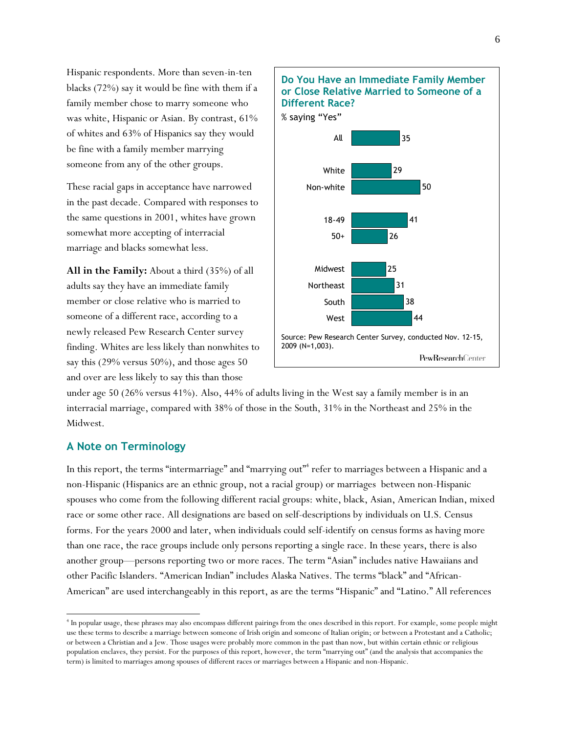Hispanic respondents. More than seven-in-ten blacks (72%) say it would be fine with them if a family member chose to marry someone who was white, Hispanic or Asian. By contrast, 61% of whites and 63% of Hispanics say they would be fine with a family member marrying someone from any of the other groups.

These racial gaps in acceptance have narrowed in the past decade. Compared with responses to the same questions in 2001, whites have grown somewhat more accepting of interracial marriage and blacks somewhat less.

**All in the Family:** About a third (35%) of all adults say they have an immediate family member or close relative who is married to someone of a different race, according to a newly released Pew Research Center survey finding. Whites are less likely than nonwhites to say this (29% versus 50%), and those ages 50 and over are less likely to say this than those



under age 50 (26% versus 41%). Also, 44% of adults living in the West say a family member is in an interracial marriage, compared with 38% of those in the South, 31% in the Northeast and 25% in the Midwest.

### **A Note on Terminology**

 $\overline{a}$ 

In this report, the terms "intermarriage" and "marrying out"<sup>4</sup> refer to marriages between a Hispanic and a non-Hispanic (Hispanics are an ethnic group, not a racial group) or marriages between non-Hispanic spouses who come from the following different racial groups: white, black, Asian, American Indian, mixed race or some other race. All designations are based on self-descriptions by individuals on U.S. Census forms. For the years 2000 and later, when individuals could self-identify on census forms as having more than one race, the race groups include only persons reporting a single race. In these years, there is also another group—persons reporting two or more races. The term "Asian" includes native Hawaiians and other Pacific Islanders. "American Indian" includes Alaska Natives. The terms "black" and "African-American" are used interchangeably in this report, as are the terms "Hispanic" and "Latino." All references

<sup>4</sup> In popular usage, these phrases may also encompass different pairings from the ones described in this report. For example, some people might use these terms to describe a marriage between someone of Irish origin and someone of Italian origin; or between a Protestant and a Catholic; or between a Christian and a Jew. Those usages were probably more common in the past than now, but within certain ethnic or religious population enclaves, they persist. For the purposes of this report, however, the term "marrying out" (and the analysis that accompanies the term) is limited to marriages among spouses of different races or marriages between a Hispanic and non-Hispanic.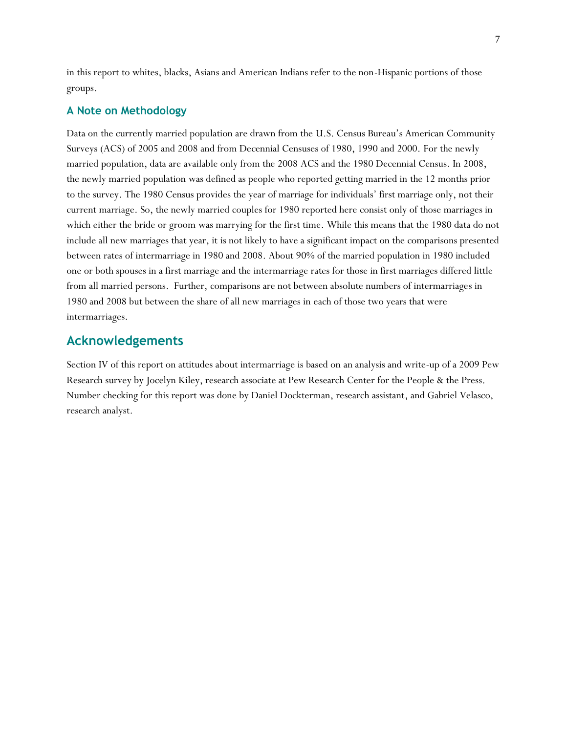in this report to whites, blacks, Asians and American Indians refer to the non-Hispanic portions of those groups.

### **A Note on Methodology**

Data on the currently married population are drawn from the U.S. Census Bureau's American Community Surveys (ACS) of 2005 and 2008 and from Decennial Censuses of 1980, 1990 and 2000. For the newly married population, data are available only from the 2008 ACS and the 1980 Decennial Census. In 2008, the newly married population was defined as people who reported getting married in the 12 months prior to the survey. The 1980 Census provides the year of marriage for individuals' first marriage only, not their current marriage. So, the newly married couples for 1980 reported here consist only of those marriages in which either the bride or groom was marrying for the first time. While this means that the 1980 data do not include all new marriages that year, it is not likely to have a significant impact on the comparisons presented between rates of intermarriage in 1980 and 2008. About 90% of the married population in 1980 included one or both spouses in a first marriage and the intermarriage rates for those in first marriages differed little from all married persons. Further, comparisons are not between absolute numbers of intermarriages in 1980 and 2008 but between the share of all new marriages in each of those two years that were intermarriages.

### **Acknowledgements**

Section IV of this report on attitudes about intermarriage is based on an analysis and write-up of a 2009 Pew Research survey by Jocelyn Kiley, research associate at Pew Research Center for the People & the Press. Number checking for this report was done by Daniel Dockterman, research assistant, and Gabriel Velasco, research analyst.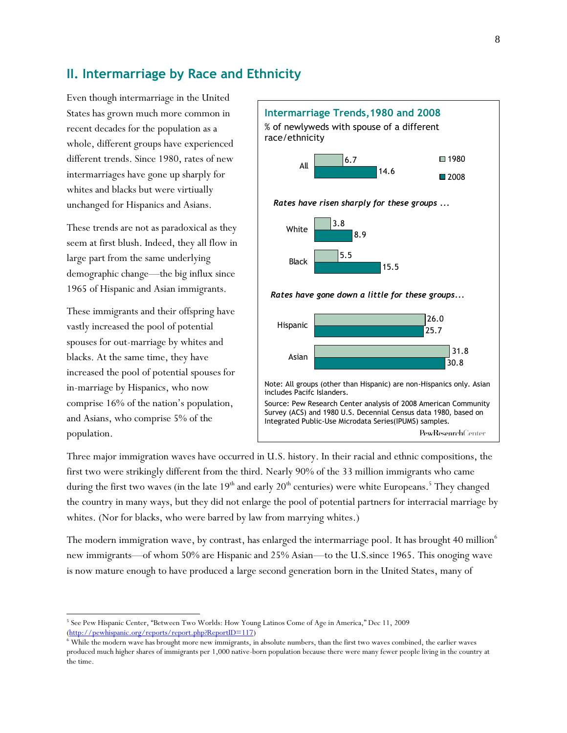### **II. Intermarriage by Race and Ethnicity**

Even though intermarriage in the United States has grown much more common in recent decades for the population as a whole, different groups have experienced different trends. Since 1980, rates of new intermarriages have gone up sharply for whites and blacks but were virtiually unchanged for Hispanics and Asians.

These trends are not as paradoxical as they seem at first blush. Indeed, they all flow in large part from the same underlying demographic change—the big influx since 1965 of Hispanic and Asian immigrants.

These immigrants and their offspring have vastly increased the pool of potential spouses for out-marriage by whites and blacks. At the same time, they have increased the pool of potential spouses for in-marriage by Hispanics, who now comprise 16% of the nation's population, and Asians, who comprise 5% of the population.

 $\overline{a}$ 



Three major immigration waves have occurred in U.S. history. In their racial and ethnic compositions, the first two were strikingly different from the third. Nearly 90% of the 33 million immigrants who came during the first two waves (in the late  $19^{\text{th}}$  and early  $20^{\text{th}}$  centuries) were white Europeans.  $^5$  They changed the country in many ways, but they did not enlarge the pool of potential partners for interracial marriage by whites. (Nor for blacks, who were barred by law from marrying whites.)

The modern immigration wave, by contrast, has enlarged the intermarriage pool. It has brought 40 million<sup>6</sup> new immigrants—of whom 50% are Hispanic and 25% Asian—to the U.S.since 1965. This onoging wave is now mature enough to have produced a large second generation born in the United States, many of

<sup>&</sup>lt;sup>5</sup> See Pew Hispanic Center, "Between Two Worlds: How Young Latinos Come of Age in America," Dec 11, 2009 [\(http://pewhispanic.org/reports/report.php?ReportID=117\)](http://pewhispanic.org/reports/report.php?ReportID=117)

<sup>6</sup> While the modern wave has brought more new immigrants, in absolute numbers, than the first two waves combined, the earlier waves produced much higher shares of immigrants per 1,000 native-born population because there were many fewer people living in the country at the time.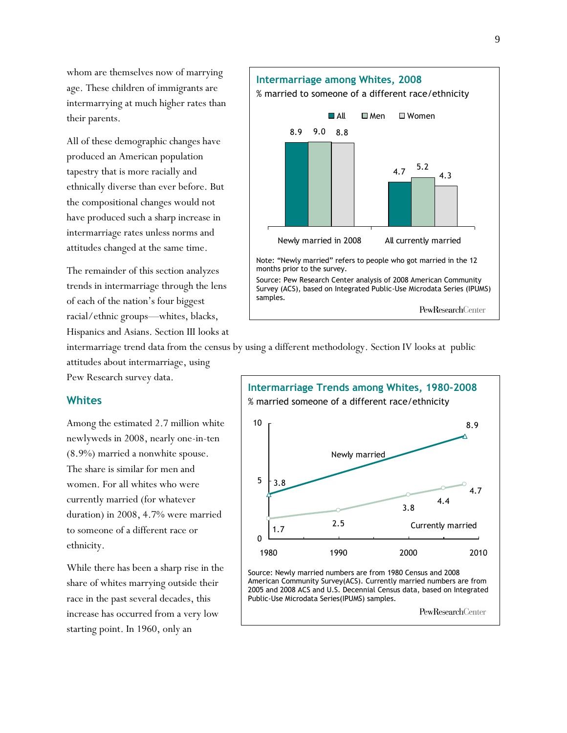whom are themselves now of marrying age. These children of immigrants are intermarrying at much higher rates than their parents.

All of these demographic changes have produced an American population tapestry that is more racially and ethnically diverse than ever before. But the compositional changes would not have produced such a sharp increase in intermarriage rates unless norms and attitudes changed at the same time.

The remainder of this section analyzes trends in intermarriage through the lens of each of the nation's four biggest racial/ethnic groups—whites, blacks, Hispanics and Asians. Section III looks at

intermarriage trend data from the census by using a different methodology. Section IV looks at public attitudes about intermarriage, using

#### **Whites**

Among the estimated 2.7 million white newlyweds in 2008, nearly one-in-ten (8.9%) married a nonwhite spouse. The share is similar for men and women. For all whites who were currently married (for whatever duration) in 2008, 4.7% were married to someone of a different race or ethnicity.

While there has been a sharp rise in the share of whites marrying outside their race in the past several decades, this increase has occurred from a very low starting point. In 1960, only an



Pew Research survey data.



American Community Survey(ACS). Currently married numbers are from 2005 and 2008 ACS and U.S. Decennial Census data, based on Integrated Public-Use Microdata Series(IPUMS) samples.

PewResearchCenter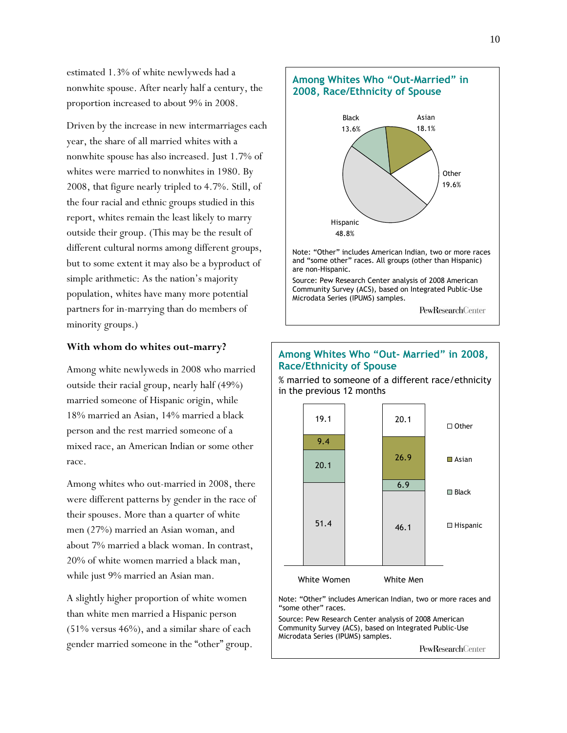estimated 1.3% of white newlyweds had a nonwhite spouse. After nearly half a century, the proportion increased to about 9% in 2008.

Driven by the increase in new intermarriages each year, the share of all married whites with a nonwhite spouse has also increased. Just 1.7% of whites were married to nonwhites in 1980. By 2008, that figure nearly tripled to 4.7%. Still, of the four racial and ethnic groups studied in this report, whites remain the least likely to marry outside their group. (This may be the result of different cultural norms among different groups, but to some extent it may also be a byproduct of simple arithmetic: As the nation's majority population, whites have many more potential partners for in-marrying than do members of minority groups.)

#### **With whom do whites out-marry?**

Among white newlyweds in 2008 who married outside their racial group, nearly half (49%) married someone of Hispanic origin, while 18% married an Asian, 14% married a black person and the rest married someone of a mixed race, an American Indian or some other race.

Among whites who out-married in 2008, there were different patterns by gender in the race of their spouses. More than a quarter of white men (27%) married an Asian woman, and about 7% married a black woman. In contrast, 20% of white women married a black man, while just 9% married an Asian man.

A slightly higher proportion of white women than white men married a Hispanic person (51% versus 46%), and a similar share of each gender married someone in the "other" group.



### **Among Whites Who "Out- Married" in 2008, Race/Ethnicity of Spouse**

% married to someone of a different race/ethnicity in the previous 12 months



Note: "Other" includes American Indian, two or more races and "some other" races.

Source: Pew Research Center analysis of 2008 American Community Survey (ACS), based on Integrated Public-Use Microdata Series (IPUMS) samples.

PewResearchCenter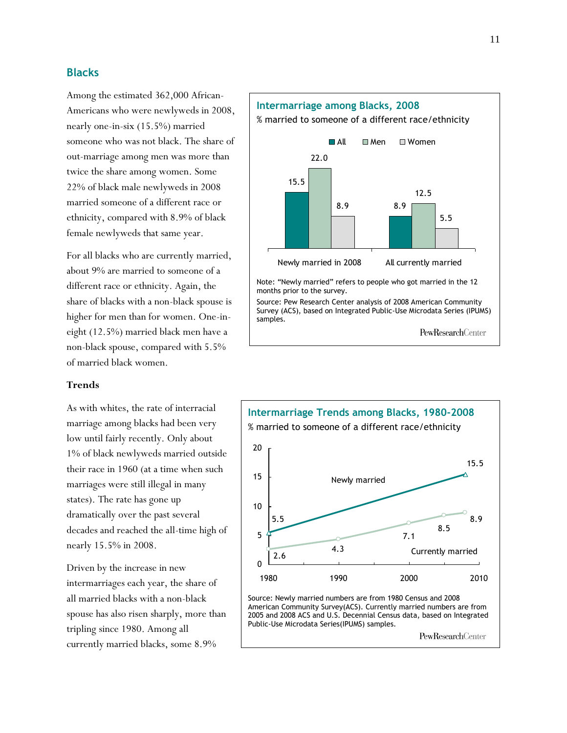### **Blacks**

Among the estimated 362,000 African-Americans who were newlyweds in 2008, nearly one-in-six (15.5%) married someone who was not black. The share of out-marriage among men was more than twice the share among women. Some 22% of black male newlyweds in 2008 married someone of a different race or ethnicity, compared with 8.9% of black female newlyweds that same year.

For all blacks who are currently married, about 9% are married to someone of a different race or ethnicity. Again, the share of blacks with a non-black spouse is higher for men than for women. One-ineight (12.5%) married black men have a non-black spouse, compared with 5.5% of married black women.

### **Trends**

As with whites, the rate of interracial marriage among blacks had been very low until fairly recently. Only about 1% of black newlyweds married outside their race in 1960 (at a time when such marriages were still illegal in many states). The rate has gone up dramatically over the past several decades and reached the all-time high of nearly 15.5% in 2008.

Driven by the increase in new intermarriages each year, the share of all married blacks with a non-black spouse has also risen sharply, more than tripling since 1980. Among all currently married blacks, some 8.9%



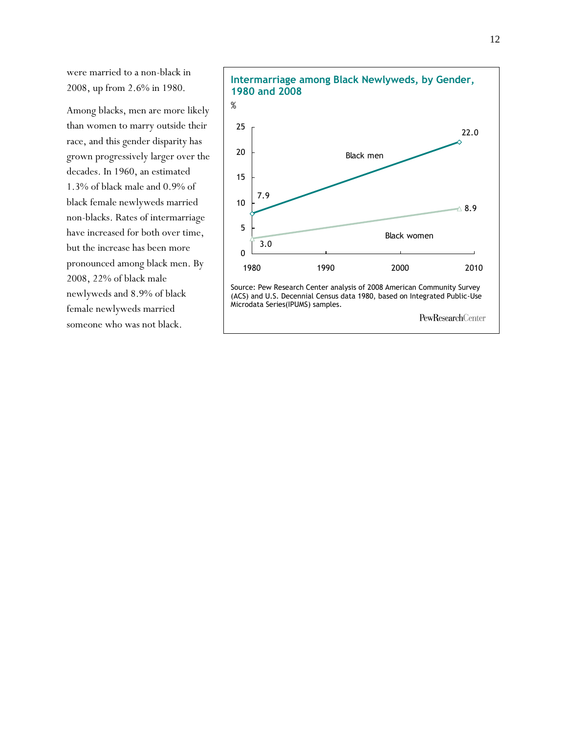were married to a non-black in 2008, up from 2.6% in 1980.

Among blacks, men are more likely than women to marry outside their race, and this gender disparity has grown progressively larger over the decades. In 1960, an estimated 1.3% of black male and 0.9% of black female newlyweds married non-blacks. Rates of intermarriage have increased for both over time, but the increase has been more pronounced among black men. By 2008, 22% of black male newlyweds and 8.9% of black female newlyweds married someone who was not black.

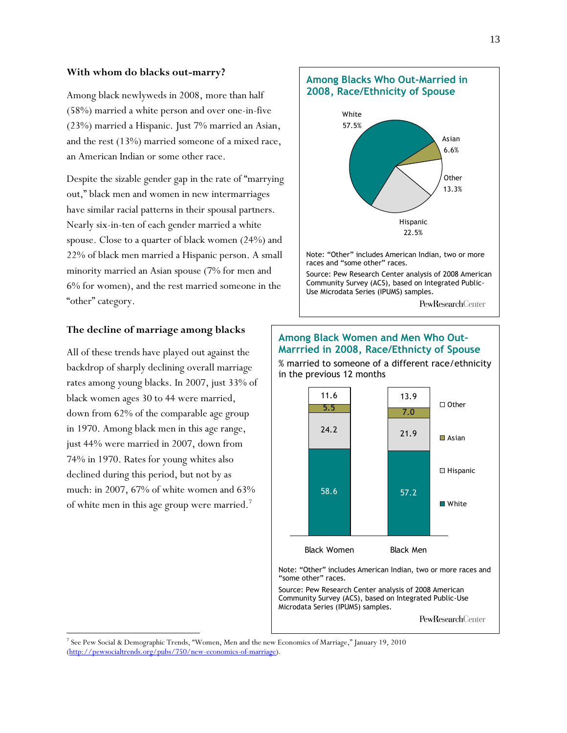#### **With whom do blacks out-marry?**

Among black newlyweds in 2008, more than half (58%) married a white person and over one-in-five (23%) married a Hispanic. Just 7% married an Asian, and the rest (13%) married someone of a mixed race, an American Indian or some other race.

Despite the sizable gender gap in the rate of "marrying" out," black men and women in new intermarriages have similar racial patterns in their spousal partners. Nearly six-in-ten of each gender married a white spouse. Close to a quarter of black women (24%) and 22% of black men married a Hispanic person. A small minority married an Asian spouse (7% for men and 6% for women), and the rest married someone in the "other" category.

#### **The decline of marriage among blacks**

All of these trends have played out against the backdrop of sharply declining overall marriage rates among young blacks. In 2007, just 33% of black women ages 30 to 44 were married, down from 62% of the comparable age group in 1970. Among black men in this age range, just 44% were married in 2007, down from 74% in 1970. Rates for young whites also declined during this period, but not by as much: in 2007, 67% of white women and 63% of white men in this age group were married.<sup>7</sup>

 $\overline{a}$ 



### **Among Black Women and Men Who Out– Marrried in 2008, Race/Ethnicty of Spouse**

% married to someone of a different race/ethnicity in the previous 12 months



Note: "Other" includes American Indian, two or more races and "some other" races.

Source: Pew Research Center analysis of 2008 American Community Survey (ACS), based on Integrated Public-Use Microdata Series (IPUMS) samples.

PewResearchCenter

<sup>&</sup>lt;sup>7</sup> See Pew Social & Demographic Trends, "Women, Men and the new Economics of Marriage," January 19, 2010 [\(http://pewsocialtrends.org/pubs/750/new-economics-of-marriage\)](http://pewsocialtrends.org/pubs/750/new-economics-of-marriage).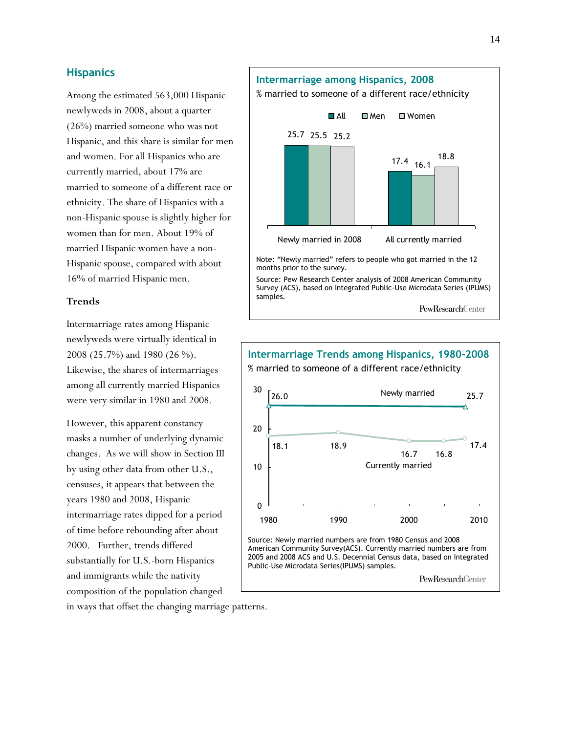### **Hispanics**

Among the estimated 563,000 Hispanic newlyweds in 2008, about a quarter (26%) married someone who was not Hispanic, and this share is similar for men and women. For all Hispanics who are currently married, about 17% are married to someone of a different race or ethnicity. The share of Hispanics with a non-Hispanic spouse is slightly higher for women than for men. About 19% of married Hispanic women have a non-Hispanic spouse, compared with about 16% of married Hispanic men.

#### **Trends**

Intermarriage rates among Hispanic newlyweds were virtually identical in 2008 (25.7%) and 1980 (26 %). Likewise, the shares of intermarriages among all currently married Hispanics were very similar in 1980 and 2008.

However, this apparent constancy masks a number of underlying dynamic changes. As we will show in Section III by using other data from other U.S., censuses, it appears that between the years 1980 and 2008, Hispanic intermarriage rates dipped for a period of time before rebounding after about 2000. Further, trends differed substantially for U.S.-born Hispanics and immigrants while the nativity composition of the population changed





in ways that offset the changing marriage patterns.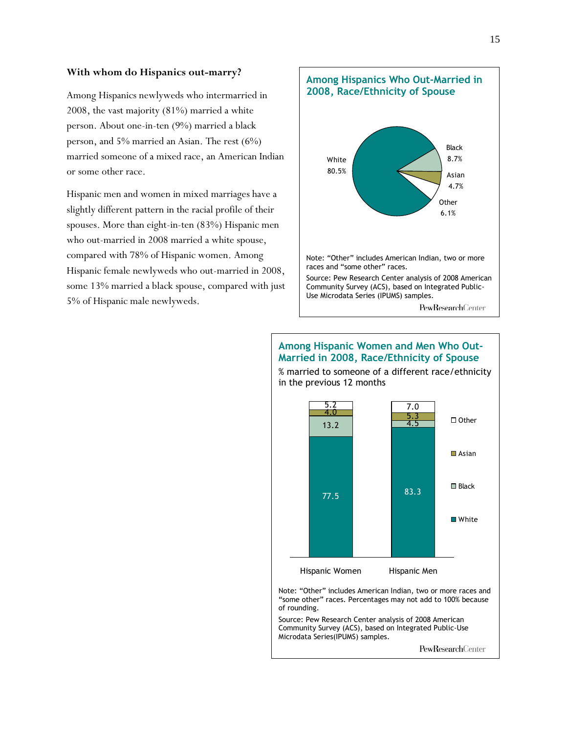#### **With whom do Hispanics out-marry?**

Among Hispanics newlyweds who intermarried in 2008, the vast majority (81%) married a white person. About one-in-ten (9%) married a black person, and 5% married an Asian. The rest (6%) married someone of a mixed race, an American Indian or some other race.

Hispanic men and women in mixed marriages have a slightly different pattern in the racial profile of their spouses. More than eight-in-ten (83%) Hispanic men who out-married in 2008 married a white spouse, compared with 78% of Hispanic women. Among Hispanic female newlyweds who out-married in 2008, some 13% married a black spouse, compared with just 5% of Hispanic male newlyweds.



### **Among Hispanic Women and Men Who Out-Married in 2008, Race/Ethnicity of Spouse**

% married to someone of a different race/ethnicity in the previous 12 months

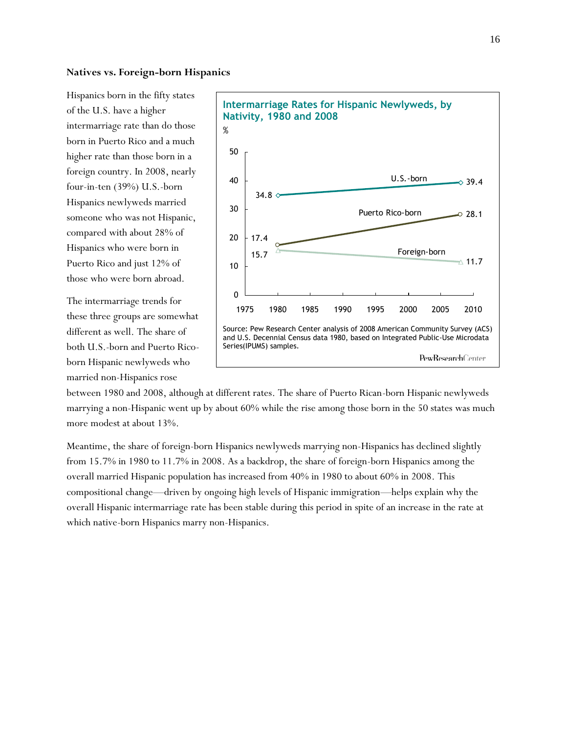#### **Natives vs. Foreign-born Hispanics**

Hispanics born in the fifty states of the U.S. have a higher intermarriage rate than do those born in Puerto Rico and a much higher rate than those born in a foreign country. In 2008, nearly four-in-ten (39%) U.S.-born Hispanics newlyweds married someone who was not Hispanic, compared with about 28% of Hispanics who were born in Puerto Rico and just 12% of those who were born abroad.

The intermarriage trends for these three groups are somewhat different as well. The share of both U.S.-born and Puerto Ricoborn Hispanic newlyweds who married non-Hispanics rose



between 1980 and 2008, although at different rates. The share of Puerto Rican-born Hispanic newlyweds marrying a non-Hispanic went up by about 60% while the rise among those born in the 50 states was much more modest at about 13%.

Meantime, the share of foreign-born Hispanics newlyweds marrying non-Hispanics has declined slightly from 15.7% in 1980 to 11.7% in 2008. As a backdrop, the share of foreign-born Hispanics among the overall married Hispanic population has increased from 40% in 1980 to about 60% in 2008. This compositional change—driven by ongoing high levels of Hispanic immigration—helps explain why the overall Hispanic intermarriage rate has been stable during this period in spite of an increase in the rate at which native-born Hispanics marry non-Hispanics.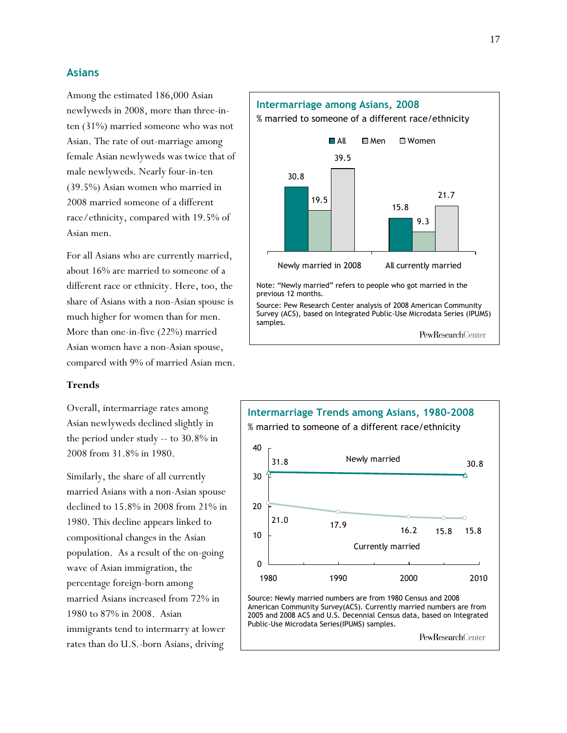### **Asians**

Among the estimated 186,000 Asian newlyweds in 2008, more than three-inten (31%) married someone who was not Asian. The rate of out-marriage among female Asian newlyweds was twice that of male newlyweds. Nearly four-in-ten (39.5%) Asian women who married in 2008 married someone of a different race/ethnicity, compared with 19.5% of Asian men.

For all Asians who are currently married, about 16% are married to someone of a different race or ethnicity. Here, too, the share of Asians with a non-Asian spouse is much higher for women than for men. More than one-in-five (22%) married Asian women have a non-Asian spouse, compared with 9% of married Asian men.

#### **Trends**

Overall, intermarriage rates among Asian newlyweds declined slightly in the period under study -- to 30.8% in 2008 from 31.8% in 1980.

Similarly, the share of all currently married Asians with a non-Asian spouse declined to 15.8% in 2008 from 21% in 1980. This decline appears linked to compositional changes in the Asian population. As a result of the on-going wave of Asian immigration, the percentage foreign-born among married Asians increased from 72% in 1980 to 87% in 2008. Asian immigrants tend to intermarry at lower rates than do U.S.-born Asians, driving



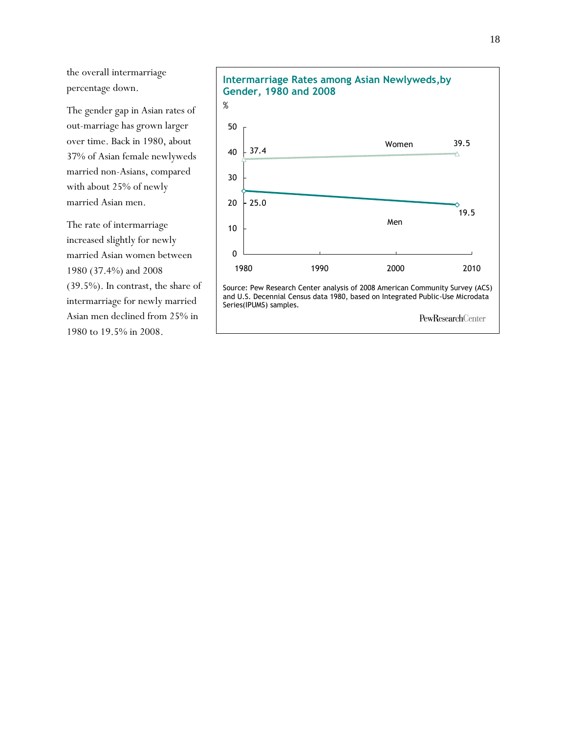the overall intermarriage percentage down.

The gender gap in Asian rates of out-marriage has grown larger over time. Back in 1980, about 37% of Asian female newlyweds married non-Asians, compared with about 25% of newly married Asian men.

The rate of intermarriage increased slightly for newly married Asian women between 1980 (37.4%) and 2008 (39.5%). In contrast, the share of intermarriage for newly married Asian men declined from 25% in 1980 to 19.5% in 2008.

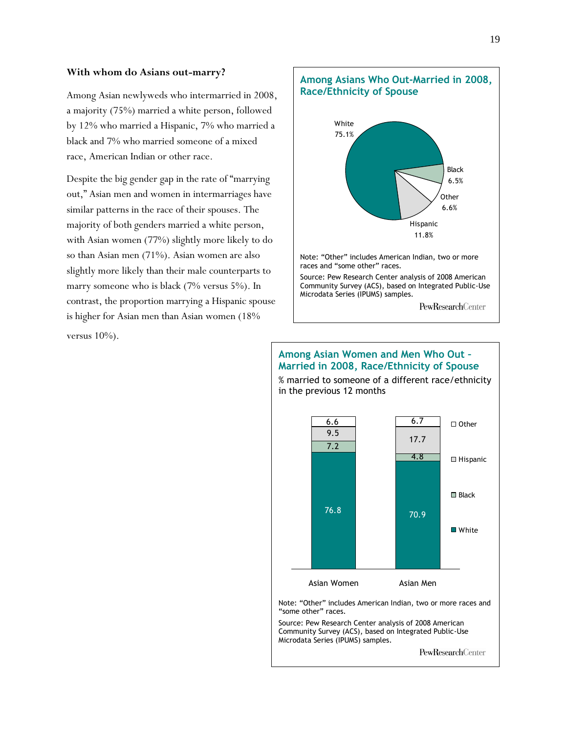#### **With whom do Asians out-marry?**

Among Asian newlyweds who intermarried in 2008, a majority (75%) married a white person, followed by 12% who married a Hispanic, 7% who married a black and 7% who married someone of a mixed race, American Indian or other race.

Despite the big gender gap in the rate of "marrying" out," Asian men and women in intermarriages have similar patterns in the race of their spouses. The majority of both genders married a white person, with Asian women (77%) slightly more likely to do so than Asian men (71%). Asian women are also slightly more likely than their male counterparts to marry someone who is black (7% versus 5%). In contrast, the proportion marrying a Hispanic spouse is higher for Asian men than Asian women (18% versus  $10\%$ ).



### **Among Asian Women and Men Who Out – Married in 2008, Race/Ethnicity of Spouse**

% married to someone of a different race/ethnicity in the previous 12 months

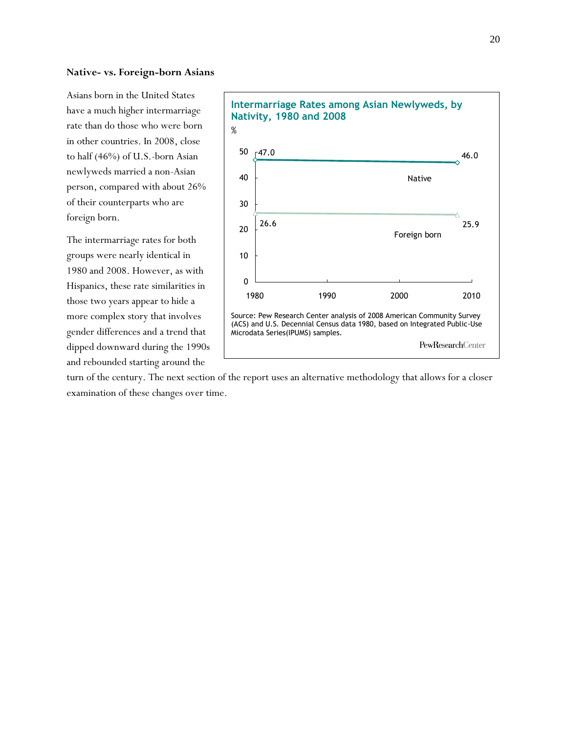#### **Native- vs. Foreign-born Asians**

Asians born in the United States have a much higher intermarriage rate than do those who were born in other countries. In 2008, close to half (46%) of U.S.-born Asian newlyweds married a non-Asian person, compared with about 26% of their counterparts who are foreign born.

The intermarriage rates for both groups were nearly identical in 1980 and 2008. However, as with Hispanics, these rate similarities in those two years appear to hide a more complex story that involves gender differences and a trend that dipped downward during the 1990s and rebounded starting around the



turn of the century. The next section of the report uses an alternative methodology that allows for a closer examination of these changes over time.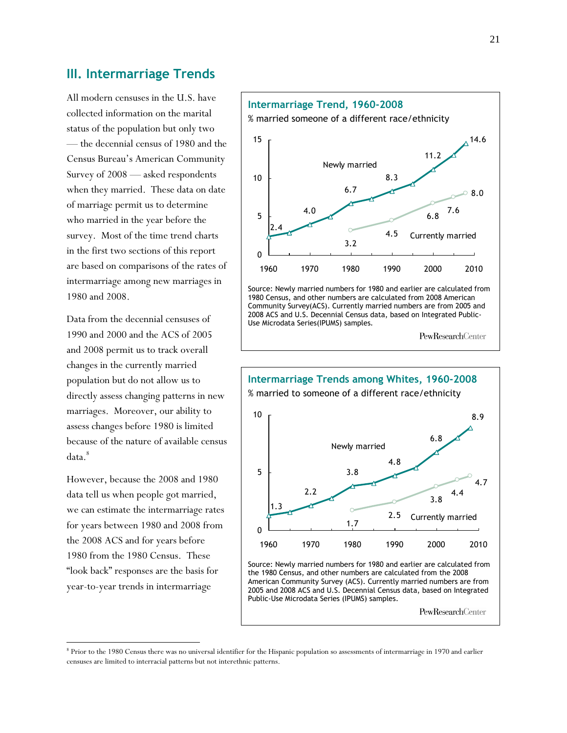### **III. Intermarriage Trends**

All modern censuses in the U.S. have collected information on the marital status of the population but only two — the decennial census of 1980 and the Census Bureau's American Community Survey of 2008 — asked respondents when they married. These data on date of marriage permit us to determine who married in the year before the survey. Most of the time trend charts in the first two sections of this report are based on comparisons of the rates of intermarriage among new marriages in 1980 and 2008.

Data from the decennial censuses of 1990 and 2000 and the ACS of 2005 and 2008 permit us to track overall changes in the currently married population but do not allow us to directly assess changing patterns in new marriages. Moreover, our ability to assess changes before 1980 is limited because of the nature of available census data.<sup>8</sup>

However, because the 2008 and 1980 data tell us when people got married, we can estimate the intermarriage rates for years between 1980 and 2008 from the 2008 ACS and for years before 1980 from the 1980 Census. These "look back" responses are the basis for year-to-year trends in intermarriage

l



Source: Newly married numbers for 1980 and earlier are calculated from 1980 Census, and other numbers are calculated from 2008 American Community Survey(ACS). Currently married numbers are from 2005 and 2008 ACS and U.S. Decennial Census data, based on Integrated Public-Use Microdata Series(IPUMS) samples.

PewResearchCenter



PewResearchCenter

<sup>&</sup>lt;sup>8</sup> Prior to the 1980 Census there was no universal identifier for the Hispanic population so assessments of intermarriage in 1970 and earlier censuses are limited to interracial patterns but not interethnic patterns.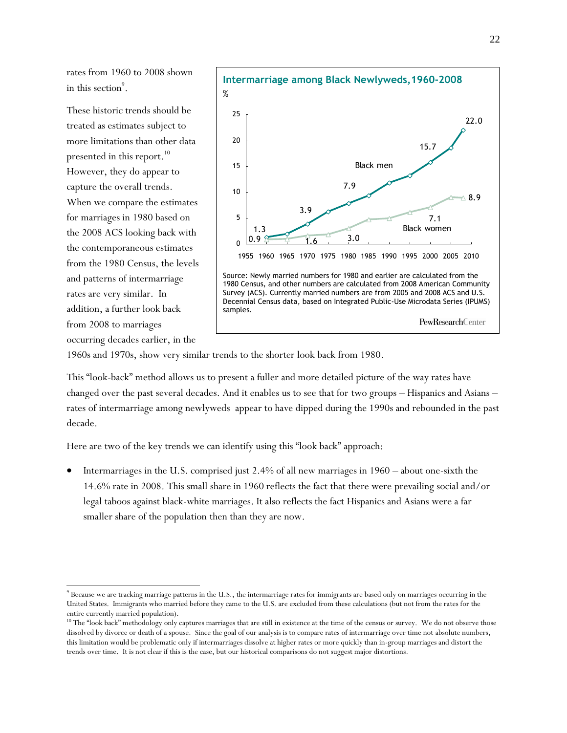rates from 1960 to 2008 shown in this section $^9$ .

These historic trends should be treated as estimates subject to more limitations than other data presented in this report. 10 However, they do appear to capture the overall trends. When we compare the estimates for marriages in 1980 based on the 2008 ACS looking back with the contemporaneous estimates from the 1980 Census, the levels and patterns of intermarriage rates are very similar. In addition, a further look back from 2008 to marriages occurring decades earlier, in the

l



1960s and 1970s, show very similar trends to the shorter look back from 1980.

This "look-back" method allows us to present a fuller and more detailed picture of the way rates have changed over the past several decades. And it enables us to see that for two groups – Hispanics and Asians – rates of intermarriage among newlyweds appear to have dipped during the 1990s and rebounded in the past decade.

Here are two of the key trends we can identify using this "look back" approach:

 Intermarriages in the U.S. comprised just 2.4% of all new marriages in 1960 – about one-sixth the 14.6% rate in 2008. This small share in 1960 reflects the fact that there were prevailing social and/or legal taboos against black-white marriages. It also reflects the fact Hispanics and Asians were a far smaller share of the population then than they are now.

 $^9$  Because we are tracking marriage patterns in the U.S., the intermarriage rates for immigrants are based only on marriages occurring in the United States. Immigrants who married before they came to the U.S. are excluded from these calculations (but not from the rates for the entire currently married population).

<sup>&</sup>lt;sup>10</sup> The "look back" methodology only captures marriages that are still in existence at the time of the census or survey. We do not observe those dissolved by divorce or death of a spouse. Since the goal of our analysis is to compare rates of intermarriage over time not absolute numbers, this limitation would be problematic only if intermarriages dissolve at higher rates or more quickly than in-group marriages and distort the trends over time. It is not clear if this is the case, but our historical comparisons do not suggest major distortions.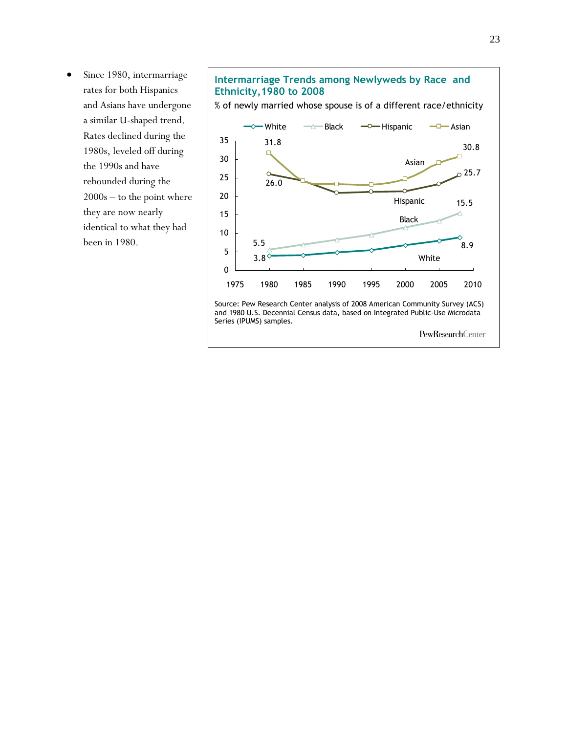Since 1980, intermarriage rates for both Hispanics and Asians have undergone a similar U-shaped trend. Rates declined during the 1980s, leveled off during the 1990s and have rebounded during the 2000s – to the point where they are now nearly identical to what they had been in 1980.

### **Intermarriage Trends among Newlyweds by Race and Ethnicity,1980 to 2008**

% of newly married whose spouse is of a different race/ethnicity



Source: Pew Research Center analysis of 2008 American Community Survey (ACS) and 1980 U.S. Decennial Census data, based on Integrated Public-Use Microdata Series (IPUMS) samples.

PewResearchCenter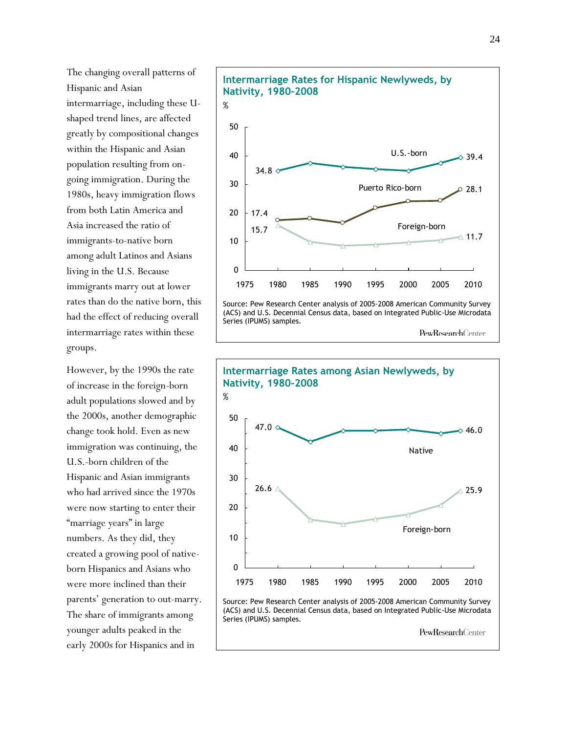The changing overall patterns of Hispanic and Asian intermarriage, including these Ushaped trend lines, are affected greatly by compositional changes within the Hispanic and Asian population resulting from ongoing immigration. During the 1980s, heavy immigration flows from both Latin America and Asia increased the ratio of immigrants-to-native born among adult Latinos and Asians living in the U.S. Because immigrants marry out at lower rates than do the native born, this had the effect of reducing overall intermarriage rates within these groups.

However, by the 1990s the rate of increase in the foreign-born adult populations slowed and by the 2000s, another demographic change took hold. Even as new immigration was continuing, the U.S.-born children of the Hispanic and Asian immigrants who had arrived since the 1970s were now starting to enter their "marriage years" in large numbers. As they did, they created a growing pool of nativeborn Hispanics and Asians who were more inclined than their parents' generation to out-marry. The share of immigrants among younger adults peaked in the early 2000s for Hispanics and in



PewResearchCenter

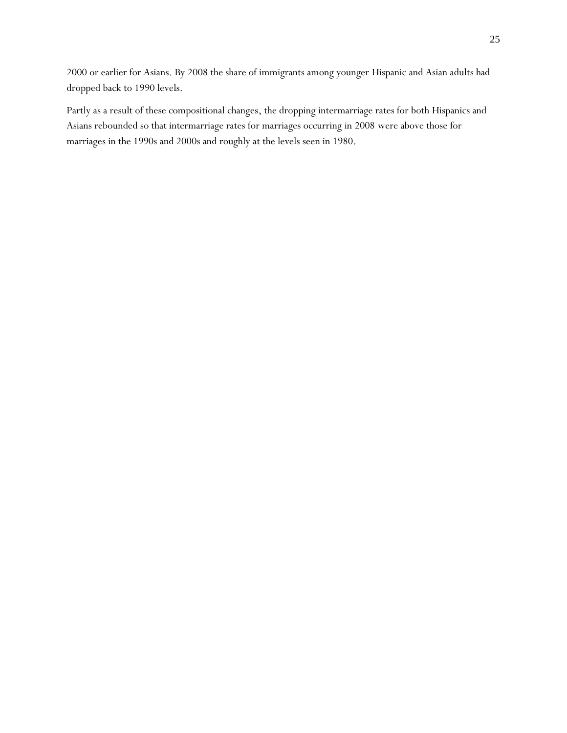2000 or earlier for Asians. By 2008 the share of immigrants among younger Hispanic and Asian adults had dropped back to 1990 levels.

Partly as a result of these compositional changes, the dropping intermarriage rates for both Hispanics and Asians rebounded so that intermarriage rates for marriages occurring in 2008 were above those for marriages in the 1990s and 2000s and roughly at the levels seen in 1980.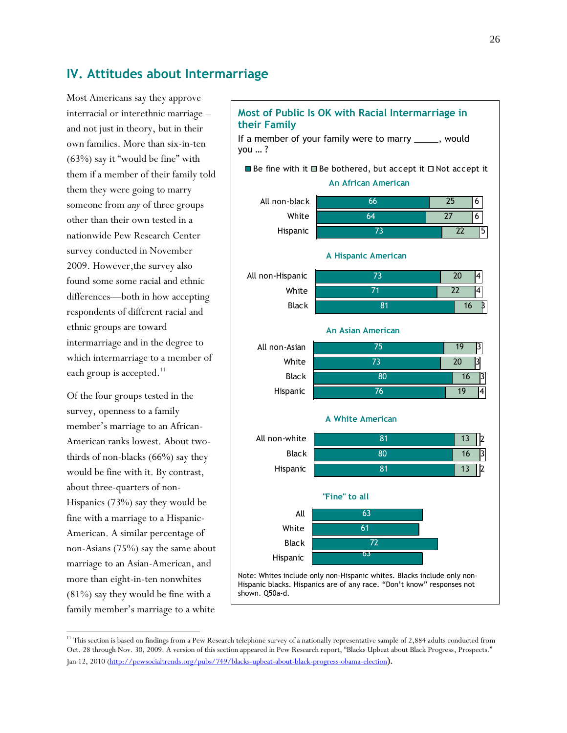### **IV. Attitudes about Intermarriage**

Most Americans say they approve interracial or interethnic marriage – and not just in theory, but in their own families. More than six-in-ten  $(63%)$  say it "would be fine" with them if a member of their family told them they were going to marry someone from *any* of three groups other than their own tested in a nationwide Pew Research Center survey conducted in November 2009. However,the survey also found some some racial and ethnic differences—both in how accepting respondents of different racial and ethnic groups are toward intermarriage and in the degree to which intermarriage to a member of each group is accepted.<sup>11</sup>

Of the four groups tested in the survey, openness to a family member's marriage to an African-American ranks lowest. About twothirds of non-blacks (66%) say they would be fine with it. By contrast, about three-quarters of non-Hispanics (73%) say they would be fine with a marriage to a Hispanic-American. A similar percentage of non-Asians (75%) say the same about marriage to an Asian-American, and more than eight-in-ten nonwhites (81%) say they would be fine with a family member's marriage to a white

l

#### **Most of Public Is OK with Racial Intermarriage in their Family** If a member of your family were to marry \_\_\_\_\_, would you … ? 66 64 73 25 27 22 6 6 5 All non-black White Hispanic  $\blacksquare$  Be fine with it  $\blacksquare$  Be bothered, but accept it  $\square$  Not accept it **An African American** 73 71 81 20 22 16 4 4  $\beta$ All non-Hispanic White Black **A Hispanic American** 75 73 80 76 19 20 16 19 3 3 4 3 All non-Asian White **Black** Hispanic **An Asian American** 81 80 81 13 16 13 3 2 All non-white 2 Black Hispanic **A White American** 63 61 All White **"Fine" to all**

Note: Whites include only non-Hispanic whites. Blacks include only non-Hispanic blacks. Hispanics are of any race. "Don't know" responses not shown. Q50a-d.

72 63

Black Hispanic

<sup>&</sup>lt;sup>11</sup> This section is based on findings from a Pew Research telephone survey of a nationally representative sample of 2,884 adults conducted from Oct. 28 through Nov. 30, 2009. A version of this section appeared in Pew Research report, "Blacks Upbeat about Black Progress, Prospects." Jan 12, 2010 [\(http://pewsocialtrends.org/pubs/749/blacks-upbeat-about-black-progress-obama-election](http://pewsocialtrends.org/pubs/749/blacks-upbeat-about-black-progress-obama-election)).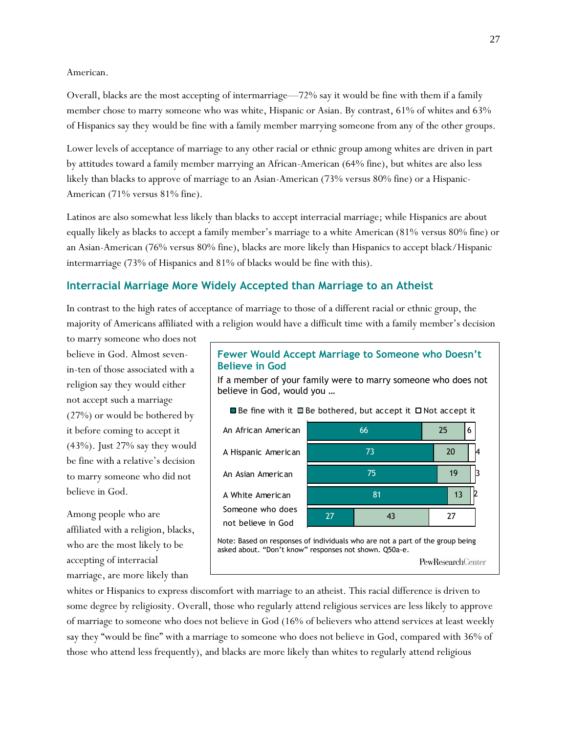#### American.

Overall, blacks are the most accepting of intermarriage—72% say it would be fine with them if a family member chose to marry someone who was white, Hispanic or Asian. By contrast, 61% of whites and 63% of Hispanics say they would be fine with a family member marrying someone from any of the other groups.

Lower levels of acceptance of marriage to any other racial or ethnic group among whites are driven in part by attitudes toward a family member marrying an African-American (64% fine), but whites are also less likely than blacks to approve of marriage to an Asian-American (73% versus 80% fine) or a Hispanic-American (71% versus 81% fine).

Latinos are also somewhat less likely than blacks to accept interracial marriage; while Hispanics are about equally likely as blacks to accept a family member's marriage to a white American (81% versus 80% fine) or an Asian-American (76% versus 80% fine), blacks are more likely than Hispanics to accept black/Hispanic intermarriage (73% of Hispanics and 81% of blacks would be fine with this).

### **Interracial Marriage More Widely Accepted than Marriage to an Atheist**

In contrast to the high rates of acceptance of marriage to those of a different racial or ethnic group, the majority of Americans affiliated with a religion would have a difficult time with a family member's decision

to marry someone who does not believe in God. Almost sevenin-ten of those associated with a religion say they would either not accept such a marriage (27%) or would be bothered by it before coming to accept it (43%). Just 27% say they would be fine with a relative's decision to marry someone who did not believe in God.

Among people who are affiliated with a religion, blacks, who are the most likely to be accepting of interracial marriage, are more likely than

### **Fewer Would Accept Marriage to Someone who Doesn't Believe in God**

If a member of your family were to marry someone who does not believe in God, would you …



PewResearchCenter

whites or Hispanics to express discomfort with marriage to an atheist. This racial difference is driven to some degree by religiosity. Overall, those who regularly attend religious services are less likely to approve of marriage to someone who does not believe in God (16% of believers who attend services at least weekly say they "would be fine" with a marriage to someone who does not believe in God, compared with 36% of those who attend less frequently), and blacks are more likely than whites to regularly attend religious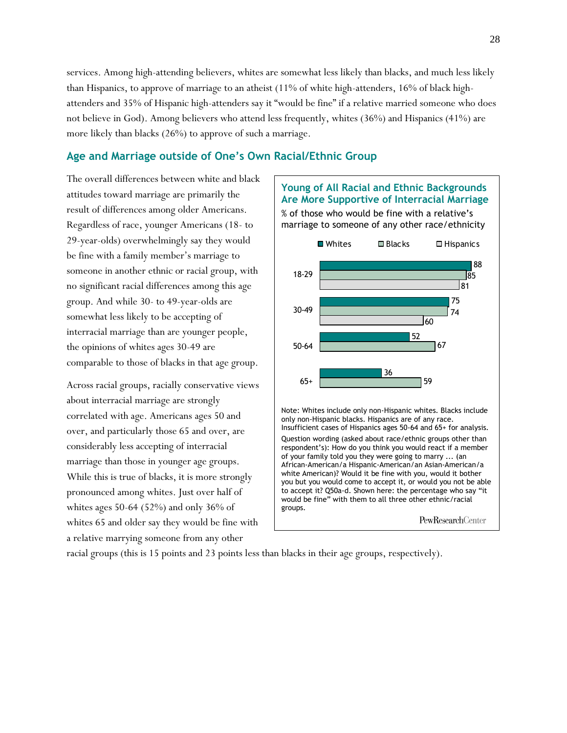services. Among high-attending believers, whites are somewhat less likely than blacks, and much less likely than Hispanics, to approve of marriage to an atheist (11% of white high-attenders, 16% of black highattenders and 35% of Hispanic high-attenders say it "would be fine" if a relative married someone who does not believe in God). Among believers who attend less frequently, whites (36%) and Hispanics (41%) are more likely than blacks (26%) to approve of such a marriage.

### **Age and Marriage outside of One's Own Racial/Ethnic Group**

The overall differences between white and black attitudes toward marriage are primarily the result of differences among older Americans. Regardless of race, younger Americans (18- to 29-year-olds) overwhelmingly say they would be fine with a family member's marriage to someone in another ethnic or racial group, with no significant racial differences among this age group. And while 30- to 49-year-olds are somewhat less likely to be accepting of interracial marriage than are younger people, the opinions of whites ages 30-49 are comparable to those of blacks in that age group.

Across racial groups, racially conservative views about interracial marriage are strongly correlated with age. Americans ages 50 and over, and particularly those 65 and over, are considerably less accepting of interracial marriage than those in younger age groups. While this is true of blacks, it is more strongly pronounced among whites. Just over half of whites ages 50-64 (52%) and only 36% of whites 65 and older say they would be fine with a relative marrying someone from any other



PewResearchCenter

racial groups (this is 15 points and 23 points less than blacks in their age groups, respectively).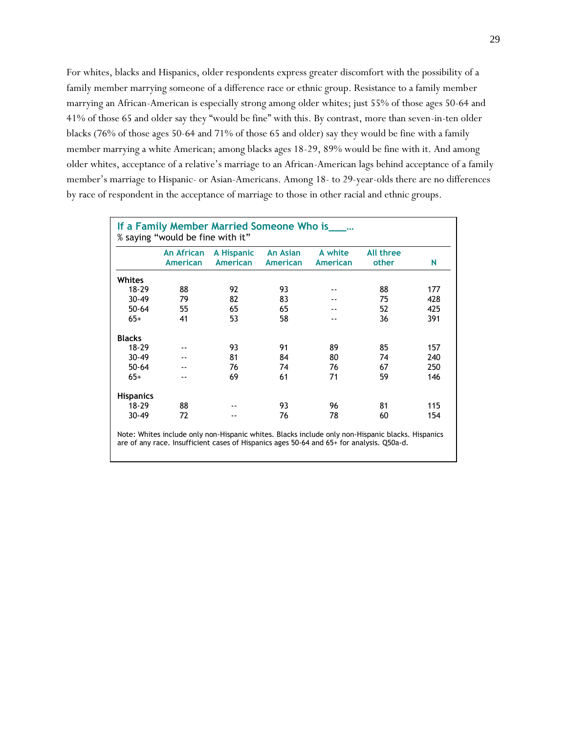For whites, blacks and Hispanics, older respondents express greater discomfort with the possibility of a family member marrying someone of a difference race or ethnic group. Resistance to a family member marrying an African-American is especially strong among older whites; just 55% of those ages 50-64 and 41% of those 65 and older say they "would be fine" with this. By contrast, more than seven-in-ten older blacks (76% of those ages 50-64 and 71% of those 65 and older) say they would be fine with a family member marrying a white American; among blacks ages 18-29, 89% would be fine with it. And among older whites, acceptance of a relative's marriage to an African-American lags behind acceptance of a family member's marriage to Hispanic- or Asian-Americans. Among 18- to 29-year-olds there are no differences by race of respondent in the acceptance of marriage to those in other racial and ethnic groups.

| If a Family Member Married Someone Who is_____<br>% saying "would be fine with it" |                               |                               |                                    |                     |                                                                                                   |     |  |  |
|------------------------------------------------------------------------------------|-------------------------------|-------------------------------|------------------------------------|---------------------|---------------------------------------------------------------------------------------------------|-----|--|--|
|                                                                                    | An African<br><b>American</b> | A Hispanic<br><b>American</b> | <b>An Asian</b><br><b>American</b> | A white<br>American | <b>All three</b><br>other                                                                         | N   |  |  |
| Whites                                                                             |                               |                               |                                    |                     |                                                                                                   |     |  |  |
| $18 - 29$                                                                          | 88                            | 92                            | 93                                 |                     | 88                                                                                                | 177 |  |  |
| $30 - 49$                                                                          | 79                            | 82                            | 83                                 |                     | 75                                                                                                | 428 |  |  |
| $50 - 64$                                                                          | 55                            | 65                            | 65                                 |                     | 52                                                                                                | 425 |  |  |
| $65+$                                                                              | 41                            | 53                            | 58                                 | --                  | 36                                                                                                | 391 |  |  |
| <b>Blacks</b>                                                                      |                               |                               |                                    |                     |                                                                                                   |     |  |  |
| $18 - 29$                                                                          |                               | 93                            | 91                                 | 89                  | 85                                                                                                | 157 |  |  |
| $30 - 49$                                                                          |                               | 81                            | 84                                 | 80                  | 74                                                                                                | 240 |  |  |
| $50 - 64$                                                                          |                               | 76                            | 74                                 | 76                  | 67                                                                                                | 250 |  |  |
| $65+$                                                                              |                               | 69                            | 61                                 | 71                  | 59                                                                                                | 146 |  |  |
| <b>Hispanics</b>                                                                   |                               |                               |                                    |                     |                                                                                                   |     |  |  |
| $18 - 29$                                                                          | 88                            |                               | 93                                 | 96                  | 81                                                                                                | 115 |  |  |
| $30 - 49$                                                                          | 72                            |                               | 76                                 | 78                  | 60                                                                                                | 154 |  |  |
|                                                                                    |                               |                               |                                    |                     | Note: Whites include only non-Hispanic whites. Blacks include only non-Hispanic blacks. Hispanics |     |  |  |

are of any race. Insufficient cases of Hispanics ages 50-64 and 65+ for analysis. Q50a-d.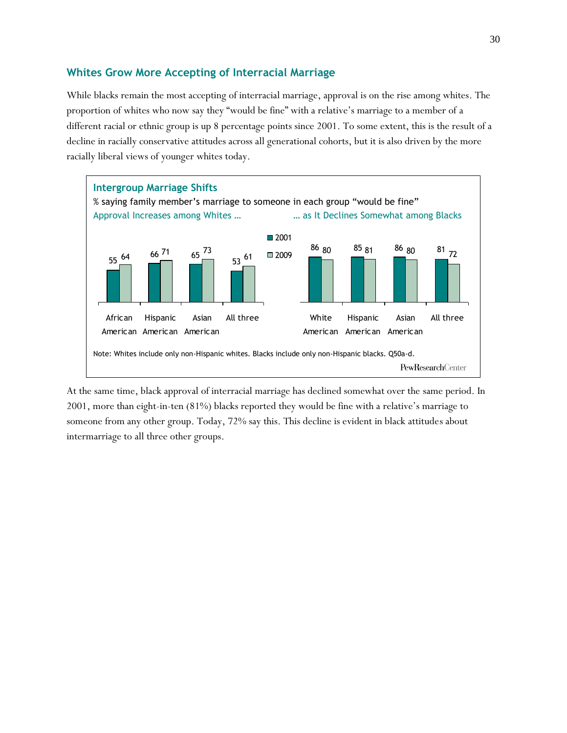### **Whites Grow More Accepting of Interracial Marriage**

While blacks remain the most accepting of interracial marriage, approval is on the rise among whites. The proportion of whites who now say they "would be fine" with a relative's marriage to a member of a different racial or ethnic group is up 8 percentage points since 2001. To some extent, this is the result of a decline in racially conservative attitudes across all generational cohorts, but it is also driven by the more racially liberal views of younger whites today.



At the same time, black approval of interracial marriage has declined somewhat over the same period. In 2001, more than eight-in-ten (81%) blacks reported they would be fine with a relative's marriage to someone from any other group. Today, 72% say this. This decline is evident in black attitudes about intermarriage to all three other groups.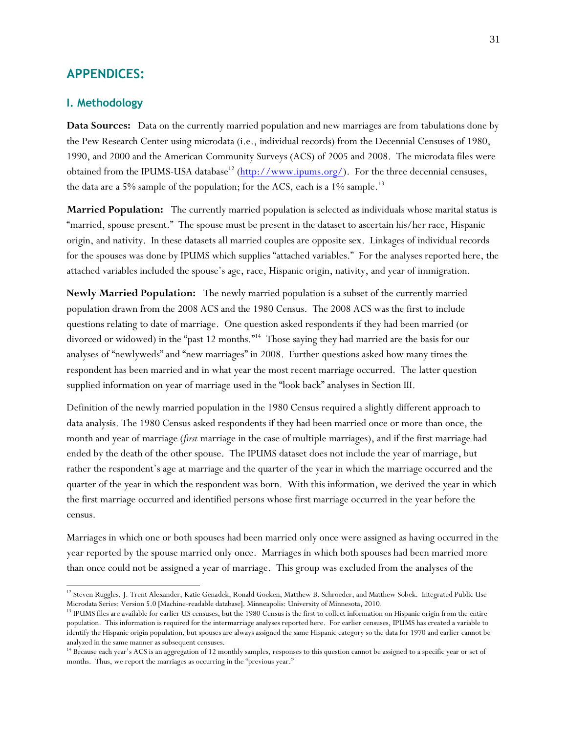### **APPENDICES:**

### **I. Methodology**

l

**Data Sources:** Data on the currently married population and new marriages are from tabulations done by the Pew Research Center using microdata (i.e., individual records) from the Decennial Censuses of 1980, 1990, and 2000 and the American Community Surveys (ACS) of 2005 and 2008. The microdata files were obtained from the IPUMS-USA database<sup>12</sup> [\(http://www.ipums.org/\)](http://www.ipums.org/). For the three decennial censuses, the data are a 5% sample of the population; for the ACS, each is a  $1\%$  sample.<sup>13</sup>

**Married Population:** The currently married population is selected as individuals whose marital status is ―married, spouse present.‖ The spouse must be present in the dataset to ascertain his/her race, Hispanic origin, and nativity. In these datasets all married couples are opposite sex. Linkages of individual records for the spouses was done by IPUMS which supplies "attached variables." For the analyses reported here, the attached variables included the spouse's age, race, Hispanic origin, nativity, and year of immigration.

**Newly Married Population:** The newly married population is a subset of the currently married population drawn from the 2008 ACS and the 1980 Census. The 2008 ACS was the first to include questions relating to date of marriage. One question asked respondents if they had been married (or divorced or widowed) in the "past 12 months."<sup>14</sup> Those saying they had married are the basis for our analyses of "newlyweds" and "new marriages" in 2008. Further questions asked how many times the respondent has been married and in what year the most recent marriage occurred. The latter question supplied information on year of marriage used in the "look back" analyses in Section III.

Definition of the newly married population in the 1980 Census required a slightly different approach to data analysis. The 1980 Census asked respondents if they had been married once or more than once, the month and year of marriage (*first* marriage in the case of multiple marriages), and if the first marriage had ended by the death of the other spouse. The IPUMS dataset does not include the year of marriage, but rather the respondent's age at marriage and the quarter of the year in which the marriage occurred and the quarter of the year in which the respondent was born. With this information, we derived the year in which the first marriage occurred and identified persons whose first marriage occurred in the year before the census.

Marriages in which one or both spouses had been married only once were assigned as having occurred in the year reported by the spouse married only once. Marriages in which both spouses had been married more than once could not be assigned a year of marriage. This group was excluded from the analyses of the

<sup>&</sup>lt;sup>12</sup> Steven Ruggles, J. Trent Alexander, Katie Genadek, Ronald Goeken, Matthew B. Schroeder, and Matthew Sobek. Integrated Public Use Microdata Series: Version 5.0 [Machine-readable database]. Minneapolis: University of Minnesota, 2010.

<sup>&</sup>lt;sup>13</sup> IPUMS files are available for earlier US censuses, but the 1980 Census is the first to collect information on Hispanic origin from the entire population. This information is required for the intermarriage analyses reported here. For earlier censuses, IPUMS has created a variable to identify the Hispanic origin population, but spouses are always assigned the same Hispanic category so the data for 1970 and earlier cannot be analyzed in the same manner as subsequent censuses.

<sup>&</sup>lt;sup>14</sup> Because each year's ACS is an aggregation of 12 monthly samples, responses to this question cannot be assigned to a specific year or set of months. Thus, we report the marriages as occurring in the "previous year."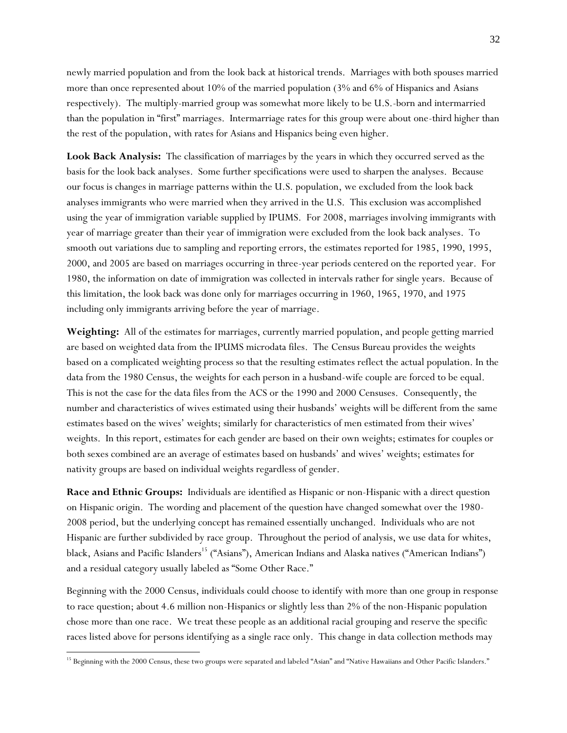newly married population and from the look back at historical trends. Marriages with both spouses married more than once represented about 10% of the married population (3% and 6% of Hispanics and Asians respectively). The multiply-married group was somewhat more likely to be U.S.-born and intermarried than the population in "first" marriages. Intermarriage rates for this group were about one-third higher than the rest of the population, with rates for Asians and Hispanics being even higher.

**Look Back Analysis:** The classification of marriages by the years in which they occurred served as the basis for the look back analyses. Some further specifications were used to sharpen the analyses. Because our focus is changes in marriage patterns within the U.S. population, we excluded from the look back analyses immigrants who were married when they arrived in the U.S. This exclusion was accomplished using the year of immigration variable supplied by IPUMS. For 2008, marriages involving immigrants with year of marriage greater than their year of immigration were excluded from the look back analyses. To smooth out variations due to sampling and reporting errors, the estimates reported for 1985, 1990, 1995, 2000, and 2005 are based on marriages occurring in three-year periods centered on the reported year. For 1980, the information on date of immigration was collected in intervals rather for single years. Because of this limitation, the look back was done only for marriages occurring in 1960, 1965, 1970, and 1975 including only immigrants arriving before the year of marriage.

**Weighting:** All of the estimates for marriages, currently married population, and people getting married are based on weighted data from the IPUMS microdata files. The Census Bureau provides the weights based on a complicated weighting process so that the resulting estimates reflect the actual population. In the data from the 1980 Census, the weights for each person in a husband-wife couple are forced to be equal. This is not the case for the data files from the ACS or the 1990 and 2000 Censuses. Consequently, the number and characteristics of wives estimated using their husbands' weights will be different from the same estimates based on the wives' weights; similarly for characteristics of men estimated from their wives' weights. In this report, estimates for each gender are based on their own weights; estimates for couples or both sexes combined are an average of estimates based on husbands' and wives' weights; estimates for nativity groups are based on individual weights regardless of gender.

**Race and Ethnic Groups:** Individuals are identified as Hispanic or non-Hispanic with a direct question on Hispanic origin. The wording and placement of the question have changed somewhat over the 1980- 2008 period, but the underlying concept has remained essentially unchanged. Individuals who are not Hispanic are further subdivided by race group. Throughout the period of analysis, we use data for whites, black, Asians and Pacific Islanders<sup>15</sup> ("Asians"), American Indians and Alaska natives ("American Indians") and a residual category usually labeled as "Some Other Race."

Beginning with the 2000 Census, individuals could choose to identify with more than one group in response to race question; about 4.6 million non-Hispanics or slightly less than 2% of the non-Hispanic population chose more than one race. We treat these people as an additional racial grouping and reserve the specific races listed above for persons identifying as a single race only. This change in data collection methods may

l

<sup>&</sup>lt;sup>15</sup> Beginning with the 2000 Census, these two groups were separated and labeled "Asian" and "Native Hawaiians and Other Pacific Islanders."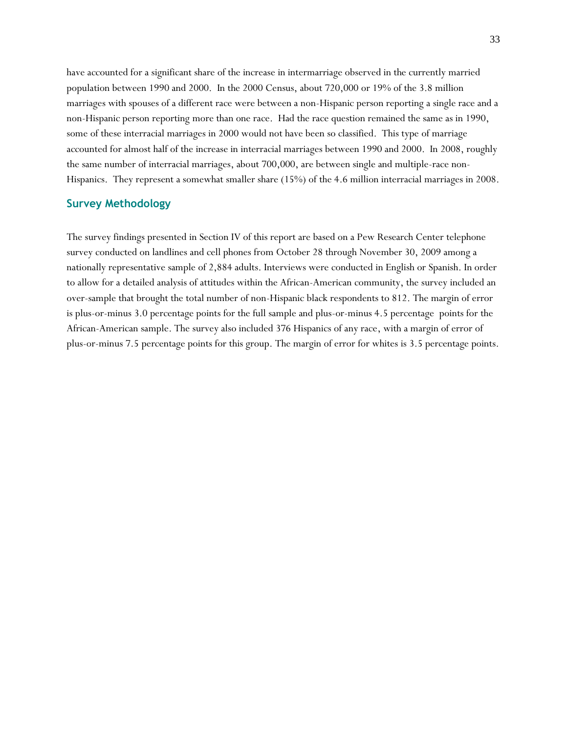have accounted for a significant share of the increase in intermarriage observed in the currently married population between 1990 and 2000. In the 2000 Census, about 720,000 or 19% of the 3.8 million marriages with spouses of a different race were between a non-Hispanic person reporting a single race and a non-Hispanic person reporting more than one race. Had the race question remained the same as in 1990, some of these interracial marriages in 2000 would not have been so classified. This type of marriage accounted for almost half of the increase in interracial marriages between 1990 and 2000. In 2008, roughly the same number of interracial marriages, about 700,000, are between single and multiple-race non-Hispanics. They represent a somewhat smaller share (15%) of the 4.6 million interracial marriages in 2008.

### **Survey Methodology**

The survey findings presented in Section IV of this report are based on a Pew Research Center telephone survey conducted on landlines and cell phones from October 28 through November 30, 2009 among a nationally representative sample of 2,884 adults. Interviews were conducted in English or Spanish. In order to allow for a detailed analysis of attitudes within the African-American community, the survey included an over-sample that brought the total number of non-Hispanic black respondents to 812. The margin of error is plus-or-minus 3.0 percentage points for the full sample and plus-or-minus 4.5 percentage points for the African-American sample. The survey also included 376 Hispanics of any race, with a margin of error of plus-or-minus 7.5 percentage points for this group. The margin of error for whites is 3.5 percentage points.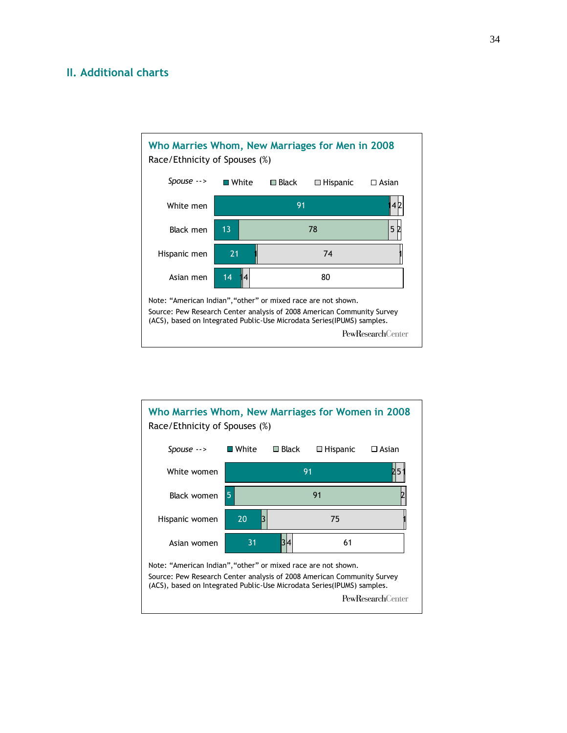### **II. Additional charts**



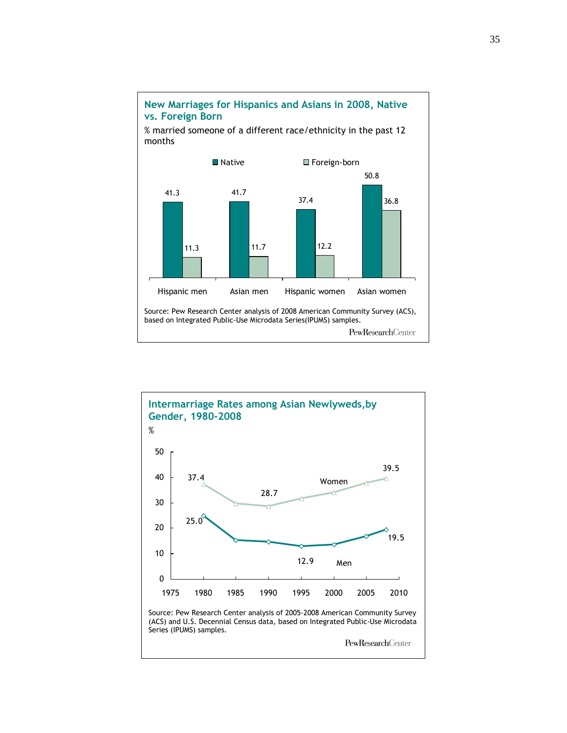

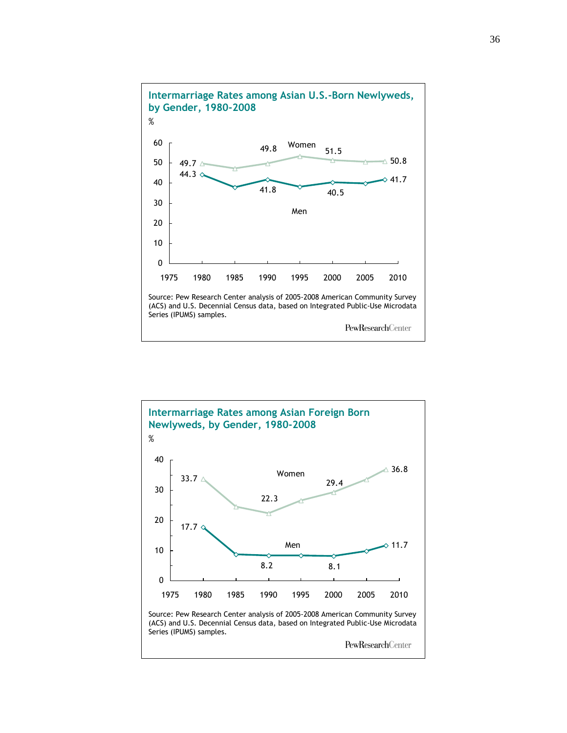![](_page_39_Figure_0.jpeg)

![](_page_39_Figure_1.jpeg)